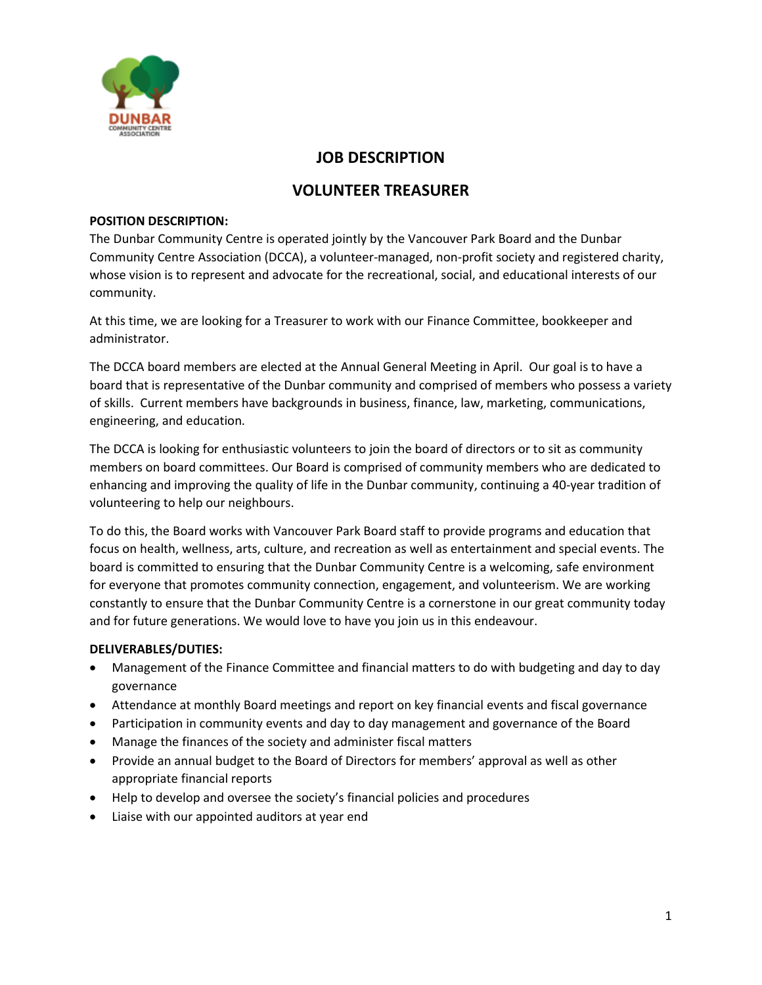

## **JOB DESCRIPTION**

# **VOLUNTEER TREASURER**

#### **POSITION DESCRIPTION:**

The Dunbar Community Centre is operated jointly by the Vancouver Park Board and the Dunbar Community Centre Association (DCCA), a volunteer-managed, non-profit society and registered charity, whose vision is to represent and advocate for the recreational, social, and educational interests of our community.

At this time, we are looking for a Treasurer to work with our Finance Committee, bookkeeper and administrator.

The DCCA board members are elected at the Annual General Meeting in April. Our goal is to have a board that is representative of the Dunbar community and comprised of members who possess a variety of skills. Current members have backgrounds in business, finance, law, marketing, communications, engineering, and education.

The DCCA is looking for enthusiastic volunteers to join the board of directors or to sit as community members on board committees. Our Board is comprised of community members who are dedicated to enhancing and improving the quality of life in the Dunbar community, continuing a 40-year tradition of volunteering to help our neighbours.

To do this, the Board works with Vancouver Park Board staff to provide programs and education that focus on health, wellness, arts, culture, and recreation as well as entertainment and special events. The board is committed to ensuring that the Dunbar Community Centre is a welcoming, safe environment for everyone that promotes community connection, engagement, and volunteerism. We are working constantly to ensure that the Dunbar Community Centre is a cornerstone in our great community today and for future generations. We would love to have you join us in this endeavour.

### **DELIVERABLES/DUTIES:**

- Management of the Finance Committee and financial matters to do with budgeting and day to day governance
- Attendance at monthly Board meetings and report on key financial events and fiscal governance
- Participation in community events and day to day management and governance of the Board
- Manage the finances of the society and administer fiscal matters
- Provide an annual budget to the Board of Directors for members' approval as well as other appropriate financial reports
- Help to develop and oversee the society's financial policies and procedures
- Liaise with our appointed auditors at year end